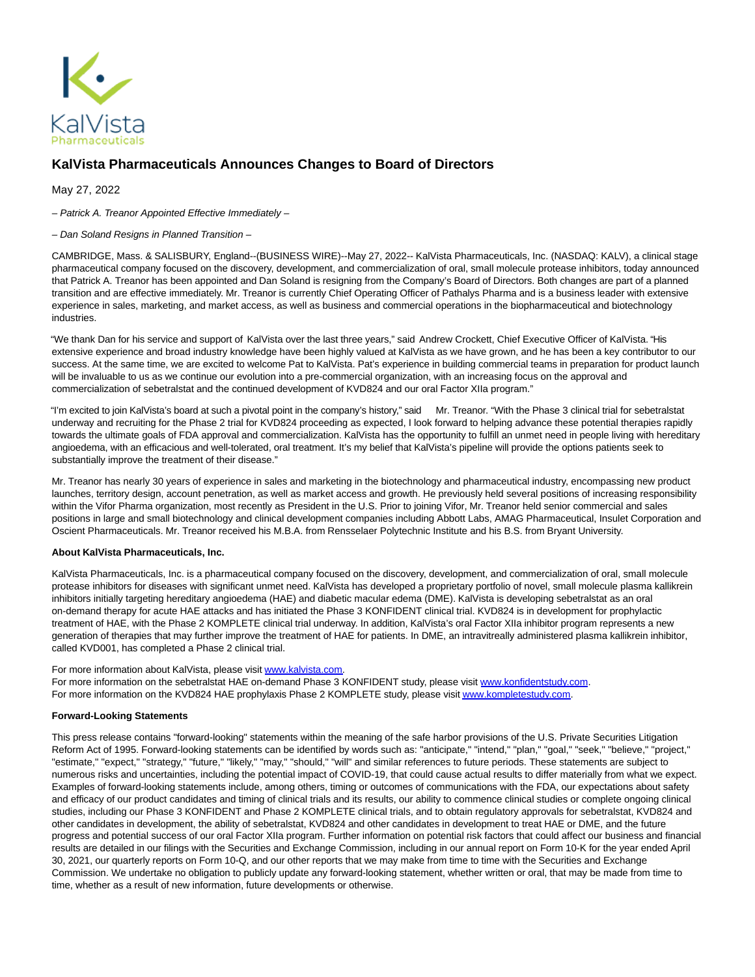

## **KalVista Pharmaceuticals Announces Changes to Board of Directors**

May 27, 2022

– Patrick A. Treanor Appointed Effective Immediately –

## – Dan Soland Resigns in Planned Transition –

CAMBRIDGE, Mass. & SALISBURY, England--(BUSINESS WIRE)--May 27, 2022-- KalVista Pharmaceuticals, Inc. (NASDAQ: KALV), a clinical stage pharmaceutical company focused on the discovery, development, and commercialization of oral, small molecule protease inhibitors, today announced that Patrick A. Treanor has been appointed and Dan Soland is resigning from the Company's Board of Directors. Both changes are part of a planned transition and are effective immediately. Mr. Treanor is currently Chief Operating Officer of Pathalys Pharma and is a business leader with extensive experience in sales, marketing, and market access, as well as business and commercial operations in the biopharmaceutical and biotechnology industries.

"We thank Dan for his service and support of KalVista over the last three years," said Andrew Crockett, Chief Executive Officer of KalVista. "His extensive experience and broad industry knowledge have been highly valued at KalVista as we have grown, and he has been a key contributor to our success. At the same time, we are excited to welcome Pat to KalVista. Pat's experience in building commercial teams in preparation for product launch will be invaluable to us as we continue our evolution into a pre-commercial organization, with an increasing focus on the approval and commercialization of sebetralstat and the continued development of KVD824 and our oral Factor XIIa program."

"I'm excited to join KalVista's board at such a pivotal point in the company's history," said Mr. Treanor. "With the Phase 3 clinical trial for sebetralstat underway and recruiting for the Phase 2 trial for KVD824 proceeding as expected, I look forward to helping advance these potential therapies rapidly towards the ultimate goals of FDA approval and commercialization. KalVista has the opportunity to fulfill an unmet need in people living with hereditary angioedema, with an efficacious and well-tolerated, oral treatment. It's my belief that KalVista's pipeline will provide the options patients seek to substantially improve the treatment of their disease."

Mr. Treanor has nearly 30 years of experience in sales and marketing in the biotechnology and pharmaceutical industry, encompassing new product launches, territory design, account penetration, as well as market access and growth. He previously held several positions of increasing responsibility within the Vifor Pharma organization, most recently as President in the U.S. Prior to joining Vifor, Mr. Treanor held senior commercial and sales positions in large and small biotechnology and clinical development companies including Abbott Labs, AMAG Pharmaceutical, Insulet Corporation and Oscient Pharmaceuticals. Mr. Treanor received his M.B.A. from Rensselaer Polytechnic Institute and his B.S. from Bryant University.

## **About KalVista Pharmaceuticals, Inc.**

KalVista Pharmaceuticals, Inc. is a pharmaceutical company focused on the discovery, development, and commercialization of oral, small molecule protease inhibitors for diseases with significant unmet need. KalVista has developed a proprietary portfolio of novel, small molecule plasma kallikrein inhibitors initially targeting hereditary angioedema (HAE) and diabetic macular edema (DME). KalVista is developing sebetralstat as an oral on-demand therapy for acute HAE attacks and has initiated the Phase 3 KONFIDENT clinical trial. KVD824 is in development for prophylactic treatment of HAE, with the Phase 2 KOMPLETE clinical trial underway. In addition, KalVista's oral Factor XIIa inhibitor program represents a new generation of therapies that may further improve the treatment of HAE for patients. In DME, an intravitreally administered plasma kallikrein inhibitor, called KVD001, has completed a Phase 2 clinical trial.

For more information about KalVista, please visit [www.kalvista.com.](https://cts.businesswire.com/ct/CT?id=smartlink&url=http%3A%2F%2Fwww.kalvista.com%2F&esheet=52731304&newsitemid=20220526005154&lan=en-US&anchor=www.kalvista.com&index=1&md5=ff9a45f85caf579b81869ed25471ddb6)

For more information on the sebetralstat HAE on-demand Phase 3 KONFIDENT study, please visit [www.konfidentstudy.com.](https://cts.businesswire.com/ct/CT?id=smartlink&url=http%3A%2F%2Fwww.konfidentstudy.com&esheet=52731304&newsitemid=20220526005154&lan=en-US&anchor=www.konfidentstudy.com&index=2&md5=64beee9f9d44c0ea3d9010793bc1459e) For more information on the KVD824 HAE prophylaxis Phase 2 KOMPLETE study, please visi[t www.kompletestudy.com.](https://cts.businesswire.com/ct/CT?id=smartlink&url=http%3A%2F%2Fwww.kompletestudy.com&esheet=52731304&newsitemid=20220526005154&lan=en-US&anchor=www.kompletestudy.com&index=3&md5=651681a91c34a6f4f3955d662ade0129)

## **Forward-Looking Statements**

This press release contains "forward-looking" statements within the meaning of the safe harbor provisions of the U.S. Private Securities Litigation Reform Act of 1995. Forward-looking statements can be identified by words such as: "anticipate," "intend," "plan," "goal," "seek," "believe," "project," "estimate," "expect," "strategy," "future," "likely," "may," "should," "will" and similar references to future periods. These statements are subject to numerous risks and uncertainties, including the potential impact of COVID-19, that could cause actual results to differ materially from what we expect. Examples of forward-looking statements include, among others, timing or outcomes of communications with the FDA, our expectations about safety and efficacy of our product candidates and timing of clinical trials and its results, our ability to commence clinical studies or complete ongoing clinical studies, including our Phase 3 KONFIDENT and Phase 2 KOMPLETE clinical trials, and to obtain regulatory approvals for sebetralstat, KVD824 and other candidates in development, the ability of sebetralstat, KVD824 and other candidates in development to treat HAE or DME, and the future progress and potential success of our oral Factor XIIa program. Further information on potential risk factors that could affect our business and financial results are detailed in our filings with the Securities and Exchange Commission, including in our annual report on Form 10-K for the year ended April 30, 2021, our quarterly reports on Form 10-Q, and our other reports that we may make from time to time with the Securities and Exchange Commission. We undertake no obligation to publicly update any forward-looking statement, whether written or oral, that may be made from time to time, whether as a result of new information, future developments or otherwise.